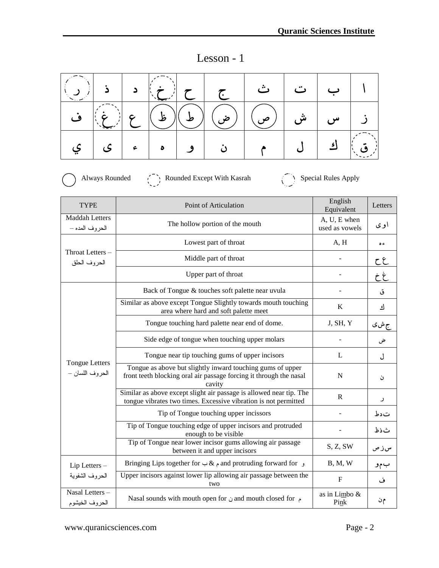| ۰.<br> |  |
|--------|--|

|   | $\sim$ $\sim$ |            |           | z z z |                            | ٽ |   |  |
|---|---------------|------------|-----------|-------|----------------------------|---|---|--|
| ف |               |            |           |       | ش   (ص)   (ض)   (ط) ع   غ) |   | س |  |
|   | '   ی         | $\epsilon$ | $\bullet$ |       |                            |   |   |  |

Always Rounded  $\left(\begin{array}{c} \uparrow \\ \downarrow \end{array}\right)$  Rounded Except With Kasrah Special Rules Apply

| <b>TYPE</b>                              | Point of Articulation                                                                                                                      | English<br>Equivalent          | Letters |
|------------------------------------------|--------------------------------------------------------------------------------------------------------------------------------------------|--------------------------------|---------|
| <b>Maddah Letters</b><br>الحروف المده –  | The hollow portion of the mouth                                                                                                            | A, U, E when<br>used as vowels | اوی     |
|                                          | Lowest part of throat                                                                                                                      | A, H                           | ء ه     |
| Throat Letters -<br>الحروف الحلق         | Middle part of throat                                                                                                                      |                                | ح ح     |
|                                          | Upper part of throat                                                                                                                       |                                | خ خ     |
|                                          | Back of Tongue & touches soft palette near uvula                                                                                           |                                | ق       |
|                                          | Similar as above except Tongue Slightly towards mouth touching<br>area where hard and soft palette meet                                    | K                              | ك       |
|                                          | Tongue touching hard palette near end of dome.                                                                                             | J, SH, Y                       | ج ش ی   |
|                                          | Side edge of tongue when touching upper molars                                                                                             |                                | ض       |
|                                          | Tongue near tip touching gums of upper incisors                                                                                            | L                              | ل       |
| <b>Tongue Letters</b><br>الحروف اللسان – | Tongue as above but slightly inward touching gums of upper<br>front teeth blocking oral air passage forcing it through the nasal<br>cavity | N                              | ن       |
|                                          | Similar as above except slight air passage is allowed near tip. The<br>tongue vibrates two times. Excessive vibration is not permitted     | $\mathbb{R}$                   | ر       |
|                                          | Tip of Tongue touching upper incissors                                                                                                     |                                | تدط     |
|                                          | Tip of Tongue touching edge of upper incisors and protruded<br>enough to be visible                                                        |                                | ثذظ     |
|                                          | Tip of Tongue near lower incisor gums allowing air passage<br>between it and upper incisors                                                | S, Z, SW                       | سزص     |
| Lip Letters -                            | Bringing Lips together for $\▵$ and protruding forward for $\▵$                                                                            | B, M, W                        | بمو     |
| الحروف الشفوية                           | Upper incisors against lower lip allowing air passage between the<br>two                                                                   | $\mathbf F$                    | ف       |
| Nasal Letters-<br>الحروف الخيشوم         | Nasal sounds with mouth open for $\dot{\phi}$ and mouth closed for $\phi$                                                                  | as in Limbo &<br>Pink          | م∙ن     |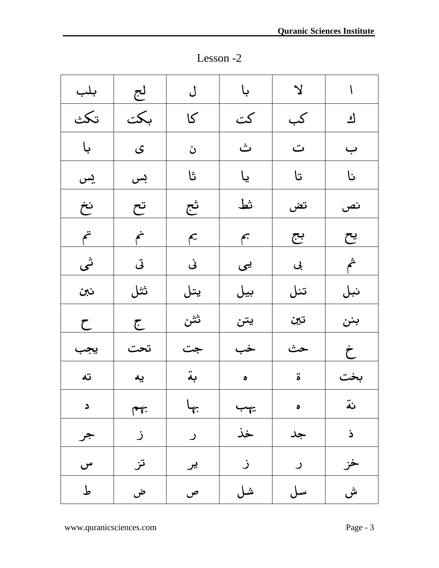ا لا ا با ل ل لج | بلب ؾ كب كت كا بكت تكث ب | ت | ث | ن | ي | با نا تا يا ثا بس يس نص تض فظ ثج تح نخ يح بج مب مي من مت ش ادى ايى كى ادى اشى نبل | تنل | بيل | كيتل | ثثل | نبن بنن ا تين ا ثثن ا ح خ | حث | خب | جت | تحت | يجب بخت | ة | م | بة | يه | ته نة | مب | ما | مس | د ذ | جد | خذ | ر | ز | جر خز | ر | ز | تز | س كان في التي ين التي ين التي ين التي ين التي ين التي ين التي ين التي ين التي ين التي ين التي ين التي ين التي ين<br>كان التي ين التي ين التي ين التي ين التي ين التي ين التي ين التي ين التي ين التي ين التي ين التي ين التي ين<br>كا

ش سل شل ص ض ط

Lesson -2

Page 2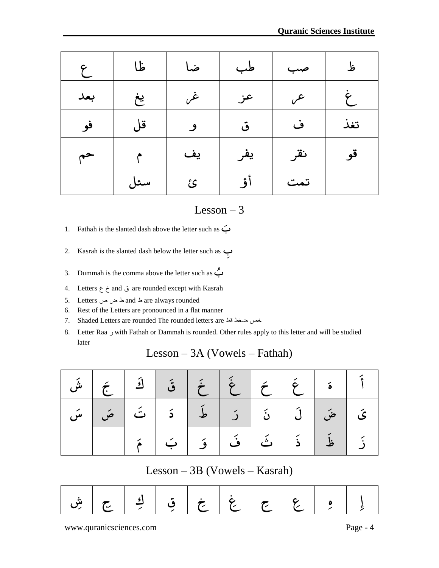| × |  |
|---|--|

| ع   | ظا  | ضا | طب  | صب  | ظ   |
|-----|-----|----|-----|-----|-----|
| بعد | يغ  | غر | عز  | ع.  |     |
| فو  | قل  | 9  | ق   | ف   | تغذ |
| حم  |     | یف | يفر | نقر | قو  |
|     | سئل | ئ  | أؤ  | تمت |     |

- 1. Fathah is the slanted dash above the letter such as ى ب
- 2. Kasrah is the slanted dash below the letter such as بً
- 3. Dummah is the comma above the letter such as  $\stackrel{\bullet}{\longleftrightarrow}$
- 4. Letters غ خ and ق are rounded except with Kasrah
- 5. Letters ص ض ط and ظ are always rounded
- 6. Rest of the Letters are pronounced in a flat manner
- 7. Shaded Letters are rounded The rounded letters are كظ ضغط خص
- 8. Letter Raa ر with Fathah or Dammah is rounded. Other rules apply to this letter and will be studied later  $\begin{array}{l} \text{Lesson} - 3 \ \text{ash above the letter such as} \ \Leftrightarrow \ \text{ash below the letter such as} \ \Leftrightarrow \ \text{a above the letter such as} \ \Leftrightarrow \ \text{rounded except with Kasrah} \ \text{are always rounded} \ \text{pronounced in a flat manner} \ \text{nodeed The rounded letters are} \ \text{abs} \ \text{ach or Dammah is rounded. Other rules apply to this le} \ \text{Lesson} - 3\text{A (Vowels} - \text{Fathah}) \end{array}$

#### Lesson – 3A (Vowels – Fathah)

|  |  |  |  | فَاعَ الْمَعْ الْمَعْ الْقَالِحَ الشَّى            |  |
|--|--|--|--|----------------------------------------------------|--|
|  |  |  |  | ىَ   مَن   لَ   نَ   رَ   مَا   دَ   تَ   مَن   سَ |  |
|  |  |  |  | زَ   غَا ذَ   ثَ   فَ   وَ   بَ                    |  |

#### Lesson – 3B (Vowels – Kasrah)

|  |  | ] ع   ع   غ   قِ   كِ   يَ   شِ |  |  |
|--|--|---------------------------------|--|--|
|  |  |                                 |  |  |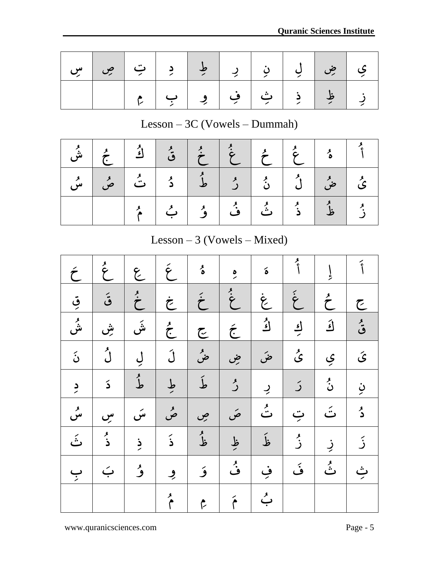Page 4

|  |  |  |  | ي   ضِ   لِي   نِ   رِ   طِ   دِ   تِ   صِ   سِ <sub> </sub> |
|--|--|--|--|--------------------------------------------------------------|
|  |  |  |  | زِ   ظِ   ذِ   ثِ   فِ   وِ   بِ   مِ                        |

## Lesson – 3C (Vowels – Dummah)

| و<br>ىش |  | $\left \begin{array}{c c} \star \ \star \end{array}\right  \left \begin{array}{c c} \star \ \star \end{array}\right  \left \begin{array}{c c} \star \ \star \end{array}\right  \left \begin{array}{c c} \star \ \star \end{array}\right  \left \begin{array}{c c} \star \ \star \end{array}\right  \left \begin{array}{c c} \star \ \star \end{array}\right $ |  |  |                                                   |  |
|---------|--|---------------------------------------------------------------------------------------------------------------------------------------------------------------------------------------------------------------------------------------------------------------------------------------------------------------------------------------------------------------|--|--|---------------------------------------------------|--|
|         |  |                                                                                                                                                                                                                                                                                                                                                               |  |  | ىُ   مِنْ   نُ   نُ   نُ   مُ   نُ   مُ   مُ   سُ |  |
|         |  |                                                                                                                                                                                                                                                                                                                                                               |  |  | دُ إِنَّهُ إِنَّ أَنَّ أَوْ إِنَّ فَ              |  |

# Lesson – 3 (Vowels – Mixed)

|                                |                  | مُ               | بے                   | ۇ                    | ئی                    | ثَ                   | ۮؘ                                  | $\frac{1}{2}$   | بر<br>ز                |  |  |
|--------------------------------|------------------|------------------|----------------------|----------------------|-----------------------|----------------------|-------------------------------------|-----------------|------------------------|--|--|
| Lesson $-3$ (Vowels $-$ Mixed) |                  |                  |                      |                      |                       |                      |                                     |                 |                        |  |  |
| $\acute{\tau}$                 | $\sum_{k=1}^{k}$ | عمل              | $\acute{\epsilon}$   | و<br>م               | $\frac{1}{2}$         | $\acute{\mathbf{o}}$ | و<br>أ                              | $\int$          | $\tilde{\mathfrak{f}}$ |  |  |
| قي                             | ة                | $\sum_{i=1}^{k}$ |                      | $\acute{\hat{\tau}}$ | $\ddot{\dot{\sigma}}$ | خ<br>مخ              | $\begin{matrix} 2 \ 3 \end{matrix}$ | $\sum^{\prime}$ | て                      |  |  |
| و<br>ش                         | ۺٚ               | ۺؘ               | $\sum_{k=1}^{k}$     | جح                   | $\acute{\epsilon}$    | ا<br>ک               | <u>اء</u>                           | أفح             | و<br>ق                 |  |  |
| نۡ                             | ڵؙ               | ڸ                | <u>لَ</u>            | ضم                   | ضِ                    | ضَ                   | ئ                                   | ې               | ىَ                     |  |  |
| $\frac{1}{\sqrt{2}}$           | دَ               | ءِ<br>ط          | طِ                   | لمأ                  | ر<br>ر                | $\overline{2}$       | رَ                                  | نُ              | ڹ                      |  |  |
| و<br>س                         | سِ               | سَ               | مر                   | ص                    | صَ                    | و<br>ت               | ټ                                   | تَ              | ۮ                      |  |  |
| .<br>ٺَ                        | و<br>ذ           | ذِ               | $\tilde{\mathbf{b}}$ | و<br>ظ               | ظِ                    | ظَ                   | و<br>ز                              | ڹ               | <u>د</u>               |  |  |
| ب                              | بَ               | ۇ                | و                    | ۇ                    | بر<br>ف               | ڣ                    | ئی                                  | و<br>ٺُ         | ݑ                      |  |  |
|                                |                  |                  | مُ                   | مم                   | $\tilde{\mathbf{f}}$  | بے                   |                                     |                 |                        |  |  |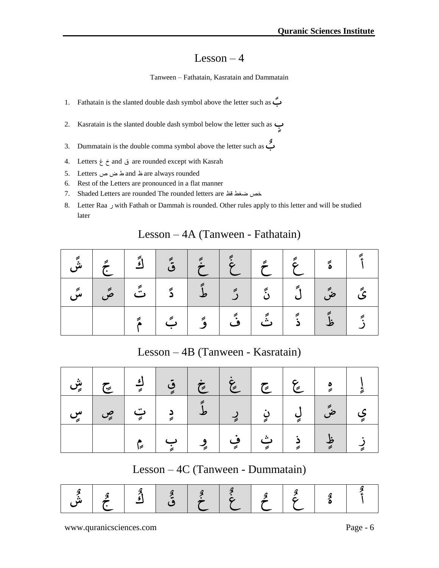#### Lesson  $-4$

#### Tanween – Fathatain, Kasratain and Dammatain

- 1. Fathatain is the slanted double dash symbol above the letter such as ب ن
- 2. Kasratain is the slanted double dash symbol below the letter such as ب و
- 3. Dummatain is the double comma symbol above the letter such as ب ه
- 4. Letters غ خ and ق are rounded except with Kasrah
- 5. Letters ص ض ط and ظ are always rounded
- 6. Rest of the Letters are pronounced in a flat manner
- 7. Shaded Letters are rounded The rounded letters are كظ ضغط خص
- 8. Letter Raa ر with Fathah or Dammah is rounded. Other rules apply to this letter and will be studied later

| later |                                   |                                   |  |  |                 | 7 T L V         |  |   |  |  |  |  |  |
|-------|-----------------------------------|-----------------------------------|--|--|-----------------|-----------------|--|---|--|--|--|--|--|
|       | Lesson – 4A (Tanween - Fathatain) |                                   |  |  |                 |                 |  |   |  |  |  |  |  |
|       |                                   |                                   |  |  |                 |                 |  | ة |  |  |  |  |  |
|       |                                   |                                   |  |  | $\tilde{\zeta}$ | $\tilde{\cdot}$ |  |   |  |  |  |  |  |
|       |                                   |                                   |  |  |                 |                 |  |   |  |  |  |  |  |
|       |                                   | Lesson – 4B (Tanween - Kasratain) |  |  |                 |                 |  |   |  |  |  |  |  |

### Lesson – 4A (Tanween - Fathatain)

Lesson – 4B (Tanween - Kasratain)

|  |  |  |  | ي   صِّ   رِن   رِن   مَّا دِ   تِ   صِ   سِ |  |
|--|--|--|--|----------------------------------------------|--|
|  |  |  |  | زِ   ظٍ   ذِ   ثِ   فِ   وِ   بِ   مِ        |  |

Lesson – 4C (Tanween - Dummatain)

| " |  |  |  |  |  |
|---|--|--|--|--|--|
|---|--|--|--|--|--|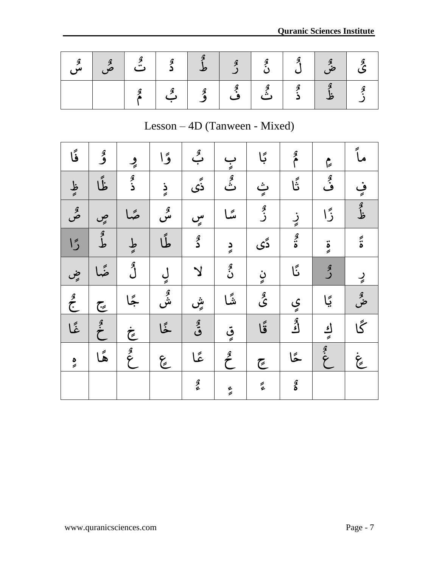Page 6

| ا فل<br>س |  |     | $\mathbf{r}$ | $\begin{array}{c c c c c c} \hline \text{S} & \text{S} & \text{S} \\\hline \text{S} & \text{S} & \text{S} \end{array}$ |              |                   | $\begin{array}{ c c } \hline \mathbf{c} & \mathbf{c} \ \hline \mathbf{c} & \mathbf{c} \end{array}$ |  |
|-----------|--|-----|--------------|------------------------------------------------------------------------------------------------------------------------|--------------|-------------------|----------------------------------------------------------------------------------------------------|--|
|           |  | ا گ | ا گُ         | فٌ                                                                                                                     | ا ھي۔<br>ڏئي | $\ddot{\epsilon}$ |                                                                                                    |  |

**Quarantee Institute Institute Institute Institute Institute Institute Institute Institute Institute Institute** 

## Lesson – 4D (Tanween - Mixed)

| فَا              | ۇ               | ڕ                | ۇا        | بگِ                     | ب<br>چ           | ڳا                  | مم                 | $\zeta$        | ماً                    |
|------------------|-----------------|------------------|-----------|-------------------------|------------------|---------------------|--------------------|----------------|------------------------|
| ظ                | ظًا             | ۮؚ               | ذٍ        | ڎؘۨؠ                    | و<br>ٽُ          | ث<br>چ              | ڗۘ۫                | ڨٛ             | ڣۣ                     |
| و<br>ص           | صٍ              | صًا              | و<br>س    | سٍ                      | سًا              | و<br>ز              | زٍ                 | ڒٙا            | ه<br>ظ                 |
| $\overline{5}$   | أهلم            | ط                | طًا       | $\widehat{\mathbf{z}}$  | $\frac{1}{2}$    | دًى                 | $\frac{2}{3}$      | $\ddot{\circ}$ | $\tilde{\ddot{\cdot}}$ |
| ضٍ               | ضًا             | می<br>ل          | ڸ         | $\overline{\mathsf{Y}}$ | م<br>ن           | نٍ                  | ێؘ                 | هر<br>گ        | رٍ                     |
| $\sum_{i=1}^{3}$ | جح              | گجا              | و<br>ش    | ۺۣٚ                     | شًا              | چ<br>گ              | ي                  | ڲ۪ٳ            | ضح                     |
| ۼًا              | $\tilde{\cdot}$ | خ                | ځا        | قىقى                    | قي               | ۊ۫ۜٳ                | بھر<br>اگ          | اءِ<br>پ       | گا                     |
| $\frac{1}{2}$    | هًا             | $\sum_{i=1}^{3}$ | لمج<br>مح | ئما                     | $\sum_{i=1}^{3}$ | جح                  | ݣَ                 | الهنما         | نچ<br>پچ               |
|                  |                 |                  |           | $\frac{2}{3}$           | ءِ               | $\widetilde{\zeta}$ | $\frac{1}{\delta}$ |                |                        |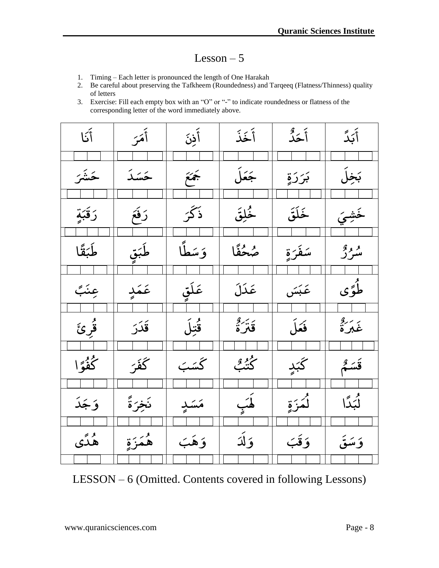#### $Lesson - 5$

- 1. Timing Each letter is pronounced the length of One Harakah
- 2. Be careful about preserving the Tafkheem (Roundedness) and Tarqeeq (Flatness/Thinness) quality of letters
- 3. Exercise: Fill each empty box with an "O" or "-" to indicate roundedness or flatness of the corresponding letter of the word immediately above.

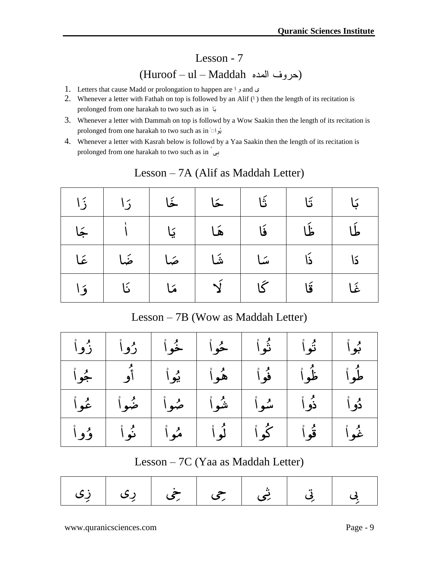# Lesson - 7 (Huroof – ul – Maddah الندى حروف(

- 1. Letters that cause Madd or prolongation to happen are  $\ell$  and  $\mathcal{L}$
- 2. Whenever a letter with Fathah on top is followed by an Alif  $(1)$  then the length of its recitation is prolonged from one harakah to two such as in اَة
- 3. Whenever a letter with Dammah on top is followd by a Wow Saakin then the length of its recitation is prolonged from one harakah to two such as in ۠واُة
- 4. Whenever a letter with Kasrah below is followd by a Yaa Saakin then the length of its recitation is prolonged from one harakah to two such as in ْ ىِة

| $\frac{2}{3}$                      | くく | خَا | خا              | تَا     | تَا |    |  |  |  |
|------------------------------------|----|-----|-----------------|---------|-----|----|--|--|--|
|                                    |    | کا  | Á               | فَا     | ظ   |    |  |  |  |
| ځا                                 | ضً |     | $\ddot{\Sigma}$ | یڈ ا    | ذَا | كا |  |  |  |
| ؤ ا                                | ئا |     |                 |         | قا  | خ  |  |  |  |
| Lesson - 7B (Wow as Maddah Letter) |    |     |                 |         |     |    |  |  |  |
| ر                                  |    |     |                 | و<br>نو | ؿؘ  |    |  |  |  |

#### Lesson – 7A (Alif as Maddah Letter)

|  | بُواْ أَ تُواْ أَ ثُواْ   خُواْ   خُواْ   رُواْ   زُواْ |  |             |  |
|--|---------------------------------------------------------|--|-------------|--|
|  | طُواْ ظُواْ فُواْ هُواْ يُواْ أَوْ جُواْ                |  |             |  |
|  | دُواْ   ذُواْ   سُواْ   شُواْ   صُواْ   ضُواْ   عُواْ   |  |             |  |
|  | كُواْ   نُواْ   مُواْ   مُواْ   وُواْ                   |  | غُواْ قُواْ |  |

#### Lesson – 7C (Yaa as Maddah Letter)

|  | بِی   بِی   شِی   جِی   جِی   رِی   زِی |  |  |
|--|-----------------------------------------|--|--|
|  |                                         |  |  |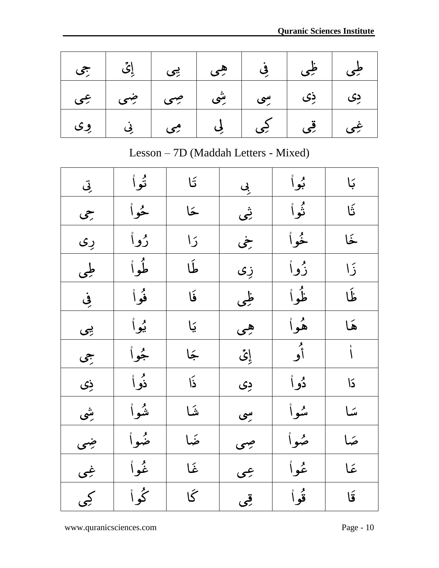Page 9

|  | طِی طِی فِی اِ بِی اِئِ جِی             |  |  |
|--|-----------------------------------------|--|--|
|  | دِی   ذِی   سِی   شِی   صِی   ضِی   عِی |  |  |
|  | غِی   قِی   کِی   لِی   مِی   نِی   وِی |  |  |

Lesson – 7D (Maddah Letters - Mixed)

| تِی | تُواْ         | $\mathfrak{t}$         | بِی       | بوأ     | بَا        |
|-----|---------------|------------------------|-----------|---------|------------|
| جى  | ځوا           | خا                     | ِ<br>رنمی | ثواْ    | تَا        |
| رِی | رُواْ         | $\overline{5}$         | خې        | ځواْ    | خَا        |
| طی  | طُواْ         | طَا                    | زِی       | زُواْ   | $\sqrt{2}$ |
| في  | فُواْ         | فَا                    | ظی        | ظُواْ   | نَا        |
| پې  | <u>يُو</u> اْ | يَا                    | هی        | هُواْ   | هَا        |
| جی  | ثجوا          | جَا                    | إِيُّ     | و<br>أو | $\sqrt{2}$ |
| زی  | ذُوْ اْ       | $\tilde{\mathfrak{b}}$ | ږی        | دُو اُ  | دًا        |
| بثى | شواْ          | شا                     | بىي       | شوأ     | سًا        |
| ضی  | ضواْ          | ضًا                    | جىي       | ضوأ     | ضا         |
| غِی | نْمُواْ       | غا                     | عبى       | عُواْ   | عَمَا      |
| کچي | گُواْ         | گا                     | قِی       | قوا     | قَا        |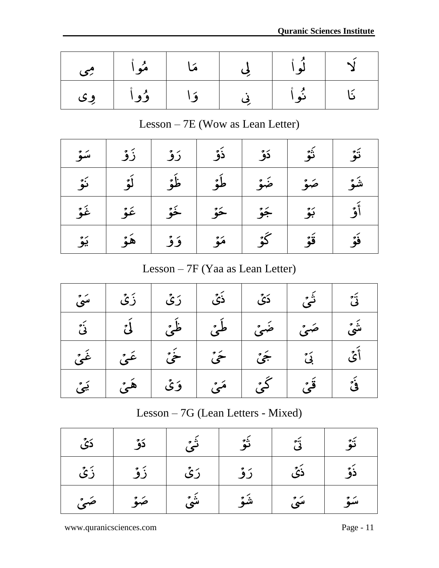Page 10

| می ک | مُوا | مَا        | لو ا           |  |
|------|------|------------|----------------|--|
| وی   | ۇوا  | $\sqrt{9}$ | $\sum$<br>نه ۱ |  |

Lesson – 7E (Wow as Lean Letter)

|  | شَوۡ   صَوۡ   ضَوۡ   طَوۡ   ظَوۡ   لَوۡ   نَوۡ |  |  |
|--|------------------------------------------------|--|--|
|  | أَوْ   بَوْ   جَوْ   حَوْ   عَوْ   عَوْ   غَوْ |  |  |
|  | فَوۡ   قَوۡ   كَوۡ   مَوۡ   وَوۡ   هَوۡ   يَوۡ |  |  |

Lesson – 7F (Yaa as Lean Letter)

| غُوُّ                             | غۇ            | خُهُ | ځو   | جَوْ  | بَوْ     | آؤ         |  |  |  |
|-----------------------------------|---------------|------|------|-------|----------|------------|--|--|--|
| یَوْ                              | هُوُ          | وَوْ | مَوْ |       | قَوۡ     | فة         |  |  |  |
| Lesson $-7F$ (Yaa as Lean Letter) |               |      |      |       |          |            |  |  |  |
| سَیۡ                              | ڒؘؽٞ          | رَیُ | ڏئُ  | دَيَّ | ڎ۫ؠ      | ڗٛ         |  |  |  |
| رَ<br>ئي                          | $\iota$       |      |      |       |          | ءَ ۾<br>سي |  |  |  |
| غُوُّ،                            |               | ځئ   | ځئ   | جَيْ  | دَ<br>بي | أَيُّ      |  |  |  |
| ڍَٽُ                              | $\rightarrow$ | وَی  |      | کے ُ  | قْى      | ؿ۬         |  |  |  |

Lesson – 7G (Lean Letters - Mixed)

| دَیۡ | دَوٌ | شًٰیُ | تَوُ | دَ <sup>ة</sup><br>في | تَوُ  |
|------|------|-------|------|-----------------------|-------|
| زَیُ | زَوْ | رَی   | رَوْ | ذَیۡ                  | ذَوَّ |
| صَىۡ | صَوْ | شَیْ  | شَوْ | سَیۡ                  | سَوٌ  |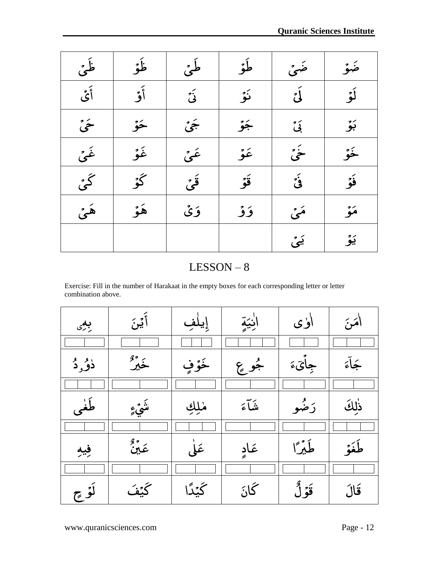Page 11

| $\sim$             | بأج                                                                                                 | طئُ          | طۇ   | ضئ       |       |
|--------------------|-----------------------------------------------------------------------------------------------------|--------------|------|----------|-------|
| ر<br>أَيُّ         | أَوْ                                                                                                | نَیۡ         | نَوۡ | ر<br>لئ  | أَوْ  |
| ځی                 | ځو                                                                                                  | جَىْ         | جَوٌ | ئی<br>بی | بَوٌ  |
| غَنٌ               | غُوُّ                                                                                               | غَنُ         | غۇ   | خیٔ      | خَمْ  |
| گئ                 | كَمْ                                                                                                | قُرُ،        | قَوۡ | ئی       | ؤْرُ  |
| هئ                 | هُوُ                                                                                                | وَی          | ۇۇ   | مئی      | مَوْ  |
|                    |                                                                                                     |              |      | یَیْ     | یَوٌ  |
|                    |                                                                                                     | $LESSON - 8$ |      |          |       |
| combination above. | Exercise: Fill in the number of Harakaat in the empty boxes for each corresponding letter or letter |              |      |          |       |
| بعی                | ٲؽؽؘ                                                                                                |              |      | أۈى      | ائم ج |
|                    |                                                                                                     |              |      |          |       |

**Quarantee Institute Institute Institute Institute Institute Institute Institute Institute Institute Institute** 

| بعی        | ٲؽڹؘ            | إيلف   | آنِيَةٍ | أۈى     | امَنَ  |
|------------|-----------------|--------|---------|---------|--------|
|            |                 |        |         |         |        |
| ذُوُّرٍ دُ | خَيْرٌ          | خَوْفٍ | جُو عِ  | جِايَءَ | جَمآءَ |
|            |                 |        |         |         |        |
| طُغی       | ۺؠٛۜ؏           | مٰلِكِ | تفكأءَ  | رَضُو   | ذٰلكَ  |
|            |                 |        |         |         |        |
| فبه        | بر وي<br>عَيْنُ | عَلَى  | عَادِ   | طَيْرًا | طَغَة  |
|            |                 |        |         |         |        |
| لَوْج      | <u> كَنْفَ</u>  | ىجىمى  | گائ     | قَوْلُ  | قَالَ  |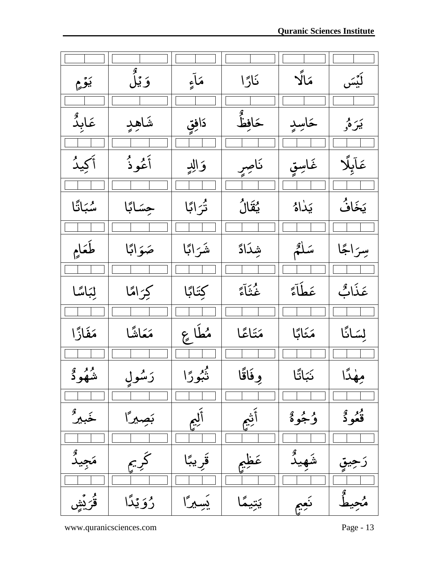| Page 12           |           |               |                |                 |                                  |
|-------------------|-----------|---------------|----------------|-----------------|----------------------------------|
|                   |           |               |                |                 |                                  |
| ڽؘۉ۫؏             | وَيۡلُ    | مَآءِ         | نَارًا         | مَالًا          | ڵؘؽۘۘڛ                           |
|                   |           |               |                |                 |                                  |
| عَابِدٌ           | شاهد      | دَافِقٍ       | حَافِظٌ<br>-   | ځاسد            | بَيرَهُ <sub>و</sub>             |
|                   |           |               |                |                 |                                  |
| أكِيدُ            | أَعُوذُ   | وَالِدِ       | ناصرٍ          | غَاسِقٍ         | عَآبِلًا                         |
|                   |           |               |                |                 |                                  |
| سُبَاتًا          | جِسَابًا  | تْرَابًا      | ؽؙؚڨؘٳڷ        | يَدٰاهُ         | يَخَافُ                          |
|                   |           |               |                |                 |                                  |
| طَعَامِ           | صَوَابًا  | شَرَابًا      | شِدَادً        | سَلَّمُ         | سِرَاجًا                         |
|                   |           |               |                |                 |                                  |
| لِبَاسًا          | كِرَامًا  | كِتَابًا      | غُنَّآءً       | عَطَٰآءً        | عَذَابٌ                          |
|                   |           |               |                |                 |                                  |
| مَفَازًا          | مَعَاشًا  | مُطَاعِ       | مَتَاعًا       | مَثَابًا        | لِسَانًا                         |
|                   |           |               |                |                 |                                  |
| <sup>وو</sup> وگر | رَسُول    | ڊ<br>نُبُورًا | وِفَاقًا       | <b>نَبَاتًا</b> | جهٰدًا                           |
|                   |           |               |                |                 |                                  |
| خَبيرٌ            | بَصِيرًا  | ؙڸؙۭۜٚٛ<br>؉  | ٚۧؿ۫ۜٚۼ        | وُجُوهُ         | <sup>و</sup> و و<br><b>قعو د</b> |
|                   |           |               |                |                 |                                  |
| مَجِيدٌ           | كريم      | قريبًا        | عَظِمٍ         |                 | رجيو                             |
|                   |           |               |                |                 |                                  |
| ڨُرَيْشِ          | رُوَيْدًا | يسيرًا        | ؽؘؚؾۜؽؚۘؗۘۘۘڲۘ | نعيم            |                                  |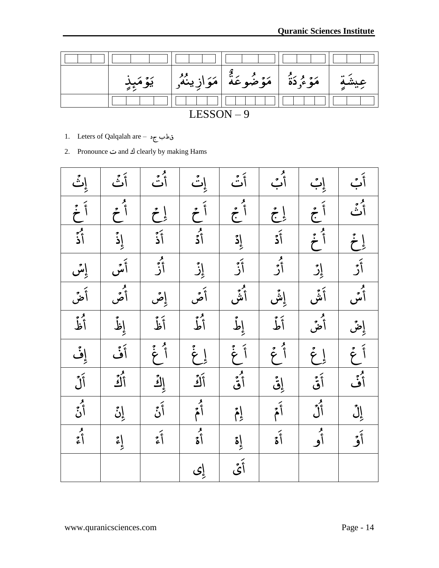Page 13



- 1. Leters of Qalqalah are قطب ج
- 2. Pronounce ت and ؾ clearly by making Hams

|                                                                                                                                                                                                                                  | و<br>أَتَّ |                                                                                                                                                                                                                                                                                                                                                                                                                                        |                                                                                                                                                                                                                                                                                                                                                                                                                                                                                                        | و<br>أبُ                                                                                                                                                                                                                                                                                                                                                                                                                                                                                                                                                                                        |                                                                                                                                                                                                                                     |                                                                                                                                                                                                                                  |
|----------------------------------------------------------------------------------------------------------------------------------------------------------------------------------------------------------------------------------|------------|----------------------------------------------------------------------------------------------------------------------------------------------------------------------------------------------------------------------------------------------------------------------------------------------------------------------------------------------------------------------------------------------------------------------------------------|--------------------------------------------------------------------------------------------------------------------------------------------------------------------------------------------------------------------------------------------------------------------------------------------------------------------------------------------------------------------------------------------------------------------------------------------------------------------------------------------------------|-------------------------------------------------------------------------------------------------------------------------------------------------------------------------------------------------------------------------------------------------------------------------------------------------------------------------------------------------------------------------------------------------------------------------------------------------------------------------------------------------------------------------------------------------------------------------------------------------|-------------------------------------------------------------------------------------------------------------------------------------------------------------------------------------------------------------------------------------|----------------------------------------------------------------------------------------------------------------------------------------------------------------------------------------------------------------------------------|
| إِنَّ<br>أَحَمَّ<br>أَذَّ                                                                                                                                                                                                        |            |                                                                                                                                                                                                                                                                                                                                                                                                                                        | أُنَّ إِنَّ أَنَّ أَنَّ أَنَّ أَنَّ أَنَّ أَنَّ أَنَّ أَنَّ أَنَّ أَنَّ أَنَّ أَنَّ أَنَّ أَنَّ أَنَّ أَنَّ أَ<br>أَنَّ أَنَّ أَنَّ أَنَّ أَنَّ أَنَّ أَنَّ أَنَّ أَنَّ أَنَّ أَنَّ أَنَّ أَنَّ أَنَّ أَنَّ أَنَّ أَن                                                                                                                                                                                                                                                                                  | $\begin{array}{ c c c } \hline \cdot & \cdot & \cdot & \cdot \\ \hline \cdot & \cdot & \cdot & \cdot \\ \hline \cdot & \cdot & \cdot & \cdot \\ \hline \cdot & \cdot & \cdot & \cdot \\ \hline \cdot & \cdot & \cdot & \cdot \\ \hline \cdot & \cdot & \cdot & \cdot \\ \hline \cdot & \cdot & \cdot & \cdot \\ \hline \cdot & \cdot & \cdot & \cdot \\ \hline \cdot & \cdot & \cdot & \cdot \\ \hline \cdot & \cdot & \cdot & \cdot \\ \hline \cdot & \cdot & \cdot & \cdot \\ \hline \cdot & \cdot & \cdot & \cdot \\ \hline \cdot & \cdot & \cdot & \cdot \\ \hline \cdot & \cdot & \cdot &$ | ان أول المعلم المعلم المعلم المعلم المعلم المعلم المعلم المعلم المعلم المعلم المعلم المعلم المعلم ال<br>أول المعلم المعلم المعلم المعلم المعلم المعلم المعلم المعلم المعلم المعلم المعلم المعلم المعلم المعلم المعلم ا<br>أول المعل | أُبُ أَنَّ أَنَّ أَنَّ أَنَّ أَنَّ أَنَّ أَنَّ أَنَّ أَنَّ أَنَّ أَنَّ أَنَّ أَنَّ أَنَّ أَنَّ أَنَّ أَنَّ أَن<br>أَوْلَ أَنَّ أَنَّ أَنَّ أَنَّ أَنَّ أَنَّ أَنَّ أَنَّ أَنَّ أَنَّ أَنَّ أَنَّ أَنَّ أَنَّ أَنَّ أَنَّ أَنَّ أ |
|                                                                                                                                                                                                                                  |            |                                                                                                                                                                                                                                                                                                                                                                                                                                        |                                                                                                                                                                                                                                                                                                                                                                                                                                                                                                        |                                                                                                                                                                                                                                                                                                                                                                                                                                                                                                                                                                                                 |                                                                                                                                                                                                                                     |                                                                                                                                                                                                                                  |
|                                                                                                                                                                                                                                  |            |                                                                                                                                                                                                                                                                                                                                                                                                                                        |                                                                                                                                                                                                                                                                                                                                                                                                                                                                                                        |                                                                                                                                                                                                                                                                                                                                                                                                                                                                                                                                                                                                 |                                                                                                                                                                                                                                     |                                                                                                                                                                                                                                  |
| ائس أيضًا أيضًا المؤسسة المؤسسة المؤسسة المؤسسة المؤسسة المؤسسة المؤسسة المؤسسة المؤسسة المؤسسة المؤسسة المؤسسة<br>المؤسسة المؤسسة المؤسسة المؤسسة المؤسسة المؤسسة المؤسسة المؤسسة المؤسسة المؤسسة المؤسسة المؤسسة المؤسسة المؤس | إِصْ       | $\begin{array}{c c c c} \hline \textbf{1} & \textbf{2} & \textbf{3} & \textbf{1} \\ \hline \textbf{2} & \textbf{3} & \textbf{1} & \textbf{2} & \textbf{3} \\ \hline \textbf{3} & \textbf{4} & \textbf{5} & \textbf{1} & \textbf{2} \\ \hline \textbf{4} & \textbf{5} & \textbf{1} & \textbf{2} & \textbf{3} \\ \hline \textbf{5} & \textbf{1} & \textbf{2} & \textbf{3} & \textbf{3} \\ \hline \textbf{6} & \textbf{1} & \textbf{2} &$ |                                                                                                                                                                                                                                                                                                                                                                                                                                                                                                        |                                                                                                                                                                                                                                                                                                                                                                                                                                                                                                                                                                                                 |                                                                                                                                                                                                                                     |                                                                                                                                                                                                                                  |
|                                                                                                                                                                                                                                  |            |                                                                                                                                                                                                                                                                                                                                                                                                                                        |                                                                                                                                                                                                                                                                                                                                                                                                                                                                                                        |                                                                                                                                                                                                                                                                                                                                                                                                                                                                                                                                                                                                 |                                                                                                                                                                                                                                     |                                                                                                                                                                                                                                  |
|                                                                                                                                                                                                                                  |            |                                                                                                                                                                                                                                                                                                                                                                                                                                        |                                                                                                                                                                                                                                                                                                                                                                                                                                                                                                        |                                                                                                                                                                                                                                                                                                                                                                                                                                                                                                                                                                                                 |                                                                                                                                                                                                                                     |                                                                                                                                                                                                                                  |
|                                                                                                                                                                                                                                  |            |                                                                                                                                                                                                                                                                                                                                                                                                                                        |                                                                                                                                                                                                                                                                                                                                                                                                                                                                                                        |                                                                                                                                                                                                                                                                                                                                                                                                                                                                                                                                                                                                 |                                                                                                                                                                                                                                     |                                                                                                                                                                                                                                  |
|                                                                                                                                                                                                                                  |            |                                                                                                                                                                                                                                                                                                                                                                                                                                        |                                                                                                                                                                                                                                                                                                                                                                                                                                                                                                        |                                                                                                                                                                                                                                                                                                                                                                                                                                                                                                                                                                                                 |                                                                                                                                                                                                                                     |                                                                                                                                                                                                                                  |
|                                                                                                                                                                                                                                  |            |                                                                                                                                                                                                                                                                                                                                                                                                                                        | $\begin{array}{c}\n\begin{array}{c}\n3 \\ \end{array}\n\end{array}\n\end{array}\n\qquad\n\begin{array}{c}\n3 \\ \end{array}\n\qquad\n\begin{array}{c}\n3 \\ \end{array}\n\end{array}\n\qquad\n\begin{array}{c}\n3 \\ \end{array}\n\qquad\n\begin{array}{c}\n3 \\ \end{array}\n\end{array}\n\qquad\n\begin{array}{c}\n3 \\ \end{array}\n\qquad\n\begin{array}{c}\n3 \\ \end{array}\n\qquad\n\begin{array}{c}\n3 \\ \end{array}\n\qquad\n\begin{array}{c}\n3 \\ \end{array}\n\qquad\n\begin{array}{c}\n$ |                                                                                                                                                                                                                                                                                                                                                                                                                                                                                                                                                                                                 |                                                                                                                                                                                                                                     |                                                                                                                                                                                                                                  |
|                                                                                                                                                                                                                                  |            | إى                                                                                                                                                                                                                                                                                                                                                                                                                                     |                                                                                                                                                                                                                                                                                                                                                                                                                                                                                                        |                                                                                                                                                                                                                                                                                                                                                                                                                                                                                                                                                                                                 |                                                                                                                                                                                                                                     |                                                                                                                                                                                                                                  |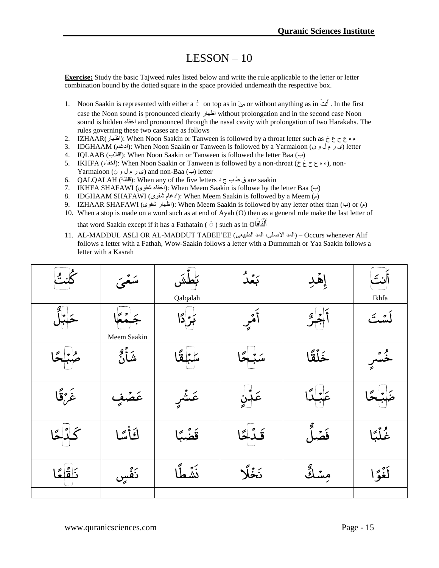### LESSON – 10

**Exercise:** Study the basic Tajweed rules listed below and write the rule applicable to the letter or letter combination bound by the dotted square in the space provided underneath the respective box.

- 1. Noon Saakin is represented with either a ْ on top as in ِهِن or without anything as in َوتَأ . In the first case the Noon sound is pronounced clearly اظهار without prolongation and in the second case Noon sound is hidden اخفاء and pronounced through the nasal cavity with prolongation of two Harakahs. The rules governing these two cases are as follows
- 2. IZHAAR(اظهار(: When Noon Saakin or Tanween is followed by a throat letter such as خ غ ح ع ه ء
- 3. IDGHAAM (ادغام): When Noon Saakin or Tanween is followed by a Yarmaloon (ادغام) (letter
- 4. IQLAAB (اقلاب): When Noon Saakin or Tanween is followed the letter Baa (ب)
- 5. IKHFA (اخفاء): When Noon Saakin or Tanween is followed by a non-throat (خ ه ع ح غ خ), non-Yarmaloon (ى و ل م ر ي (and non-Baa (ب (letter
- 6. QALQALAH (قلقلة(: When any of the five letters د ج ب ط ق are saakin
- 7. IKHFA SHAFAWI (اخفاء شفوى): When Meem Saakin is followe by the letter Baa (ب)
- 8. IDGHAAM SHAFAWI (شغلم شفوى): When Meem Saakin is followed by a Meem (6)
- 9. IZHAAR SHAFAWI (إظهار شفوى): When Meem Saakin is followed by any letter other than (ب) or (م)
- 10. When a stop is made on a word such as at end of Ayah (O) then as a general rule make the last letter of that word Saakin except if it has a Fathatain (  $\circ$  ) such as in O
- 11. AL-MADDUL ASLI OR AL-MADDUT TABEE'EE (ألمد الأصلي، المد الطبيعي Occurs whenever Alif follows a letter with a Fathah, Wow-Saakin follows a letter with a Dummmah or Yaa Saakin follows a letter with a Kasrah

| 9. IZHAAR SHAFAWI (المُغلِّل شَفُوى): When Meem Saakin is followed by any letter other than (ب) or<br>10. When a stop is made on a word such as at end of Ayah (O) then as a general rule make the last letter of |                                                                  |          |  |                                                                                                                                                                                                   |                   |  |  |
|-------------------------------------------------------------------------------------------------------------------------------------------------------------------------------------------------------------------|------------------------------------------------------------------|----------|--|---------------------------------------------------------------------------------------------------------------------------------------------------------------------------------------------------|-------------------|--|--|
|                                                                                                                                                                                                                   | that word Saakin except if it has a Fathatain ( Ó ) such as in O |          |  |                                                                                                                                                                                                   |                   |  |  |
|                                                                                                                                                                                                                   |                                                                  |          |  | 11. AL-MADDUL ASLI OR AL-MADDUT TABEE'EE (المد الأصلي، المد الطبيعي) – Occurs whenever Alif<br>follows a letter with a Fathah, Wow-Saakin follows a letter with a Dummmah or Yaa Saakin follows a |                   |  |  |
|                                                                                                                                                                                                                   | letter with a Kasrah                                             |          |  |                                                                                                                                                                                                   |                   |  |  |
|                                                                                                                                                                                                                   |                                                                  |          |  |                                                                                                                                                                                                   |                   |  |  |
|                                                                                                                                                                                                                   |                                                                  | Qalqalah |  |                                                                                                                                                                                                   | Ikhfa             |  |  |
|                                                                                                                                                                                                                   |                                                                  |          |  |                                                                                                                                                                                                   | $\cdot$ , $\cdot$ |  |  |
|                                                                                                                                                                                                                   | Meem Saakin                                                      |          |  |                                                                                                                                                                                                   |                   |  |  |
|                                                                                                                                                                                                                   | شأ                                                               |          |  | خَلَقًا                                                                                                                                                                                           |                   |  |  |
|                                                                                                                                                                                                                   |                                                                  |          |  |                                                                                                                                                                                                   |                   |  |  |
| غَرَقَا                                                                                                                                                                                                           |                                                                  |          |  |                                                                                                                                                                                                   |                   |  |  |
|                                                                                                                                                                                                                   |                                                                  |          |  |                                                                                                                                                                                                   |                   |  |  |
|                                                                                                                                                                                                                   | لَأَلَّمَا                                                       |          |  |                                                                                                                                                                                                   | غاُمُّ            |  |  |
|                                                                                                                                                                                                                   |                                                                  |          |  |                                                                                                                                                                                                   |                   |  |  |
|                                                                                                                                                                                                                   |                                                                  |          |  |                                                                                                                                                                                                   |                   |  |  |
|                                                                                                                                                                                                                   |                                                                  |          |  |                                                                                                                                                                                                   |                   |  |  |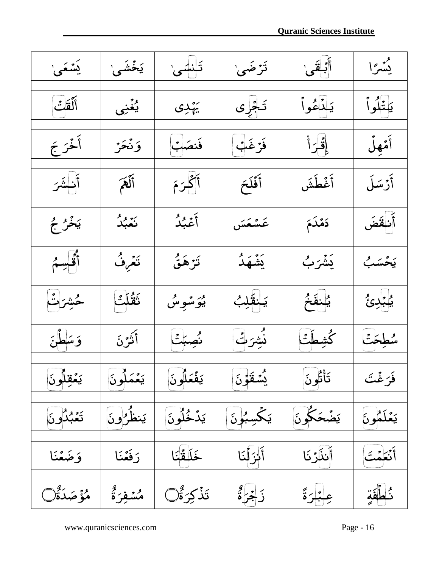| ؽؙ <i>ۺۘ۫</i> ڡؘؠٚ   | یَخۡشَیٰ                   | تَبْسَىٰ                        | تَرْضَىٰ     | أَبَـٰقَىٰ  | يُسْرًا     |
|----------------------|----------------------------|---------------------------------|--------------|-------------|-------------|
| أَلَقَتْ             | ؽۼٞۻ                       | يَهْدِى                         | تَجْرِى      | ؘؽڶۮؙڠؙۅٱ   | ؘؽؾ۠ڷؙۅٱ    |
| أَخْرَجَ             | وَنْحَرُ                   | فَنصَٰبُ                        | فَرْغَبْ     | إِقْرَأْ    | أَمْهِلُ    |
| أنستمر               | أَلْهَمَ                   | أكمرَمَ                         | أَفَلَحَ     | أَغۡطَشَ    | أَرْسَلَ    |
| يَخْرُ جُ            | ىر بو بۇ<br>ن <b>ق</b> بلە | أَعْبُدُ                        | عَسْعَسَ     | دَمْدَمَ    | أَنفقَ      |
| أقحسم                | تَعُرِفُ                   | تَرَهَقُ                        | يَشْهَدُ     | ؽۘۺٞۯٮؙٜ    | يَحۡسَبُ    |
| حُشِرَتُ             | ڗٞؿٛڵػ                     | ب <sub>ر شو</sub> س<br>بوَسْوِس | يَـنقَلِبُ   | يُسْفَخُ    | ڀُنڊئ       |
| وَسَطَنَ             | أَثَّتُرنَ                 | ئصبتً                           | ۮؙۺؘۯڷۛ      | ݣڜطتّ       | سطحت        |
| ؽڡؙۘڟؚڷ۪ۅڹؘ          | ؽؚۼۘۘڡؘڵ۪ۅڹؘ               | ؽؚڡؙۘٛۼڷ۠ۅڹؘ                    | ؽؙٮۘٞٮقَوۡنَ | ۘؾؘٲ۠ڹؙۅڹؘ  | فَرَغْتَ    |
| <sub>ك</sub> يرو گري | يَنظُرُونَ                 | يَدۡخُلُونَ                     | يَكْسِبُونَ  | يَضْحَكُونَ | يَعۡلَمُونَ |
| وَضَعْنَا            | رَفَعَنَا                  | ڂؘڵڡٞٞڹؘٵ                       | أَنْزَلْنَا  | أَنذَرُنَا  | أَنْعَمْتَ  |
| مُؤَصَدَةٌ()         | مُسۡفِرَةٌ                 | ؾؘۮؙٙڮۯۊ۠ٞٛڸ                    | ڒؘڿؙڒؙۛۊ۠    | عِبْدَةً    | ئىطفق       |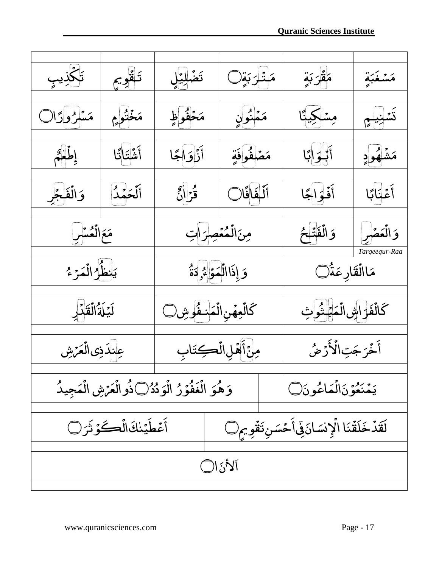



**Quranic Sciences Institute**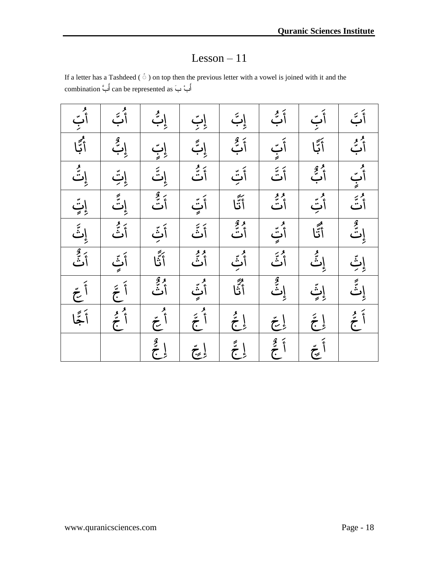#### Lesson – 11

If a letter has a Tashdeed ( $\circ$ ) on top then the previous letter with a vowel is joined with it and the أَبِ بَ as represented be can أَبَّ combination

|  | $\begin{array}{ c c c c } \hline \textbf{1} & \textbf{2} & \textbf{3} & \textbf{4} & \textbf{5} \\ \hline \textbf{2} & \textbf{3} & \textbf{1} & \textbf{1} & \textbf{1} & \textbf{1} \\ \hline \textbf{3} & \textbf{1} & \textbf{1} & \textbf{1} & \textbf{1} & \textbf{1} \\ \hline \textbf{4} & \textbf{1} & \textbf{1} & \textbf{1} & \textbf{1} & \textbf{1} \\ \hline \textbf{5} & \textbf{1} & \textbf{1} & \textbf{1} & \$ | $\begin{array}{c c c c} \hline \textbf{1} & \textbf{2} & \textbf{3} & \textbf{4} \\ \hline \textbf{2} & \textbf{3} & \textbf{4} & \textbf{5} & \textbf{6} \\ \hline \textbf{3} & \textbf{1} & \textbf{1} & \textbf{1} & \textbf{1} \\ \hline \textbf{4} & \textbf{1} & \textbf{1} & \textbf{1} & \textbf{1} \\ \hline \textbf{5} & \textbf{1} & \textbf{1} & \textbf{1} & \textbf{1} \\ \hline \textbf{6} & \textbf{1} & \textbf{1} &$ | $\begin{array}{ c c } \hline \begin{array}{ c c } \hline \text{} & \text{} \\\hline \text{} & \text{} \\\hline \text{} & \text{} \\\hline \text{} & \text{} \\\hline \text{} & \text{} \\\hline \text{} & \text{} \\\hline \text{} & \text{} \\\hline \text{} & \text{} \\\hline \text{} & \text{} \\\hline \text{} & \text{} \\\hline \text{} & \text{} \\\hline \text{} & \text{} \\\hline \text{} & \text{} \$ | $\begin{array}{ c c c c c }\hline \textbf{1}_{\text{max}} & \textbf{1}_{\text{max}} & \textbf{1}_{\text{max}} & \textbf{1}_{\text{max}} & \textbf{1}_{\text{max}} & \textbf{1}_{\text{max}} & \textbf{1}_{\text{max}} & \textbf{1}_{\text{max}} & \textbf{1}_{\text{max}} & \textbf{1}_{\text{max}} & \textbf{1}_{\text{max}} & \textbf{1}_{\text{max}} & \textbf{1}_{\text{max}} & \textbf{1}_{\text{max}} & \textbf{1}_{\text{max}} & \textbf{1}_{\text{max}} & \textbf{1}_{\text{$ | أَبَّ أَنَّ أَنَّ أَنَّ أَنَّ أَنَّ أَنَّ أَنَّ أَنَّ أَنَّ أَنَّ أَنَّ أَنَّ أَنَّ أَنَّ أَنَّ أَنَّ أَنَّ أَ<br>أَنَّ أَنَّ أَنَّ أَنَّ أَنَّ أَنَّ أَنَّ أَنَّ أَنَّ أَنَّ أَنَّ أَنَّ أَنَّ أَنَّ أَنَّ أَنَّ أَنَّ أَنَّ أَ | أَبَّ أَنَّ أَنَّ أَنَّ أَنَّ أَنَّ أَنَّ أَنَّ أَنَّ أَنَّ أَنَّ أَنَّ أَنَّ أَنَّ أَنَّ أَنَّ أَنَّ أَنَّ أَ<br>أَنَّ أَنَّ أَنَّ أَنَّ أَنَّ أَنَّ أَنَّ أَنَّ أَنَّ أَنَّ أَنَّ أَنَّ أَنَّ أَنَّ أَنْ أَنَّ أَنْ أَنْ أَنَّ |
|--|------------------------------------------------------------------------------------------------------------------------------------------------------------------------------------------------------------------------------------------------------------------------------------------------------------------------------------------------------------------------------------------------------------------------------------|----------------------------------------------------------------------------------------------------------------------------------------------------------------------------------------------------------------------------------------------------------------------------------------------------------------------------------------------------------------------------------------------------------------------------------------|-------------------------------------------------------------------------------------------------------------------------------------------------------------------------------------------------------------------------------------------------------------------------------------------------------------------------------------------------------------------------------------------------------------------|---------------------------------------------------------------------------------------------------------------------------------------------------------------------------------------------------------------------------------------------------------------------------------------------------------------------------------------------------------------------------------------------------------------------------------------------------------------------------------------|----------------------------------------------------------------------------------------------------------------------------------------------------------------------------------------------------------------------------------|----------------------------------------------------------------------------------------------------------------------------------------------------------------------------------------------------------------------------------|
|  |                                                                                                                                                                                                                                                                                                                                                                                                                                    |                                                                                                                                                                                                                                                                                                                                                                                                                                        |                                                                                                                                                                                                                                                                                                                                                                                                                   |                                                                                                                                                                                                                                                                                                                                                                                                                                                                                       |                                                                                                                                                                                                                                  |                                                                                                                                                                                                                                  |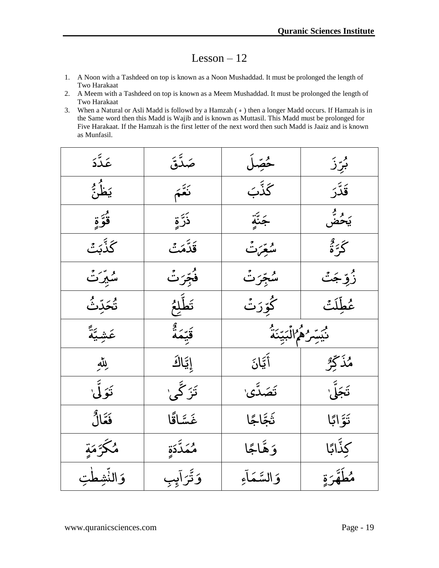- 1. A Noon with a Tashdeed on top is known as a Noon Mushaddad. It must be prolonged the length of Two Harakaat
- 2. A Meem with a Tashdeed on top is known as a Meem Mushaddad. It must be prolonged the length of Two Harakaat
- 3. When a Natural or Asli Madd is followd by a Hamzah  $(*)$  then a longer Madd occurs. If Hamzah is in the Same word then this Madd is Wajib and is known as Muttasil. This Madd must be prolonged for Five Harakaat. If the Hamzah is the first letter of the next word then such Madd is Jaaiz and is known as Munfasil.

| عَدَّدَ       | صَدَّقَ      | ځصِّلَ               | بُرِّزَ                    |
|---------------|--------------|----------------------|----------------------------|
| ؘؽؘڟؙؿٞ       | نَعَّمَ      | ػۘۮۜٞڹ               | قَدَّرَ                    |
| و<br>قوّةٍ    | ۮؘڗۜٞۄؚٚ     | جَنَّةٍ              | ر و <sup>پ</sup> ر<br>يَحض |
| ػڐۜڹۘٮٞ       | قَدَّمَتُ    | مْبَعْرَتْ           | گَرَ <sup>ء</sup> ُ        |
| ۺؙؿؚۜۘڒۘٮۛٞ   | فُجِّرَتُ    | ڛؙڋؘؚۜڒٮۛۛ           | ۯؙۅؚٞڿۘٮٞ                  |
| ؿۘڂۜڔۜٮۛٞ     | تَطَّلِعُ    | ڴۘۊۜۯٮۛٞ             | عُطِّلَتُ                  |
| عَشِيَّةً     | قَيِّعَةُ    | ڽؙؾۜڛؚؖۯۿؙٵڶۘڹؾۜڹؘڎؙ |                            |
| رِللّٰهِ      | إِيَّاكَ     | أَيَّانَ             | مُذَكِّرٌ                  |
| تَوَلَّىٰ     | تَزَكَّى\    | ۘؾؘڝؘڋۜؽ             | تَجَلَّىٰ ٰ                |
| فَعَّالُ      | غَسَّاقًا    | ثَجَّاجًا            | تَوَّابًا                  |
| مُكَّرَّمَةِ  | مُمَدَّدَةٍ  | وَهَّاجًا            | كِذَّابًا                  |
| وَالنَّشِطْتِ | ۅؘڐٞۘۯٳٙؠ۪ۘڹ | وَالسَّمَاءِ         | مُطَهَّرَةِ                |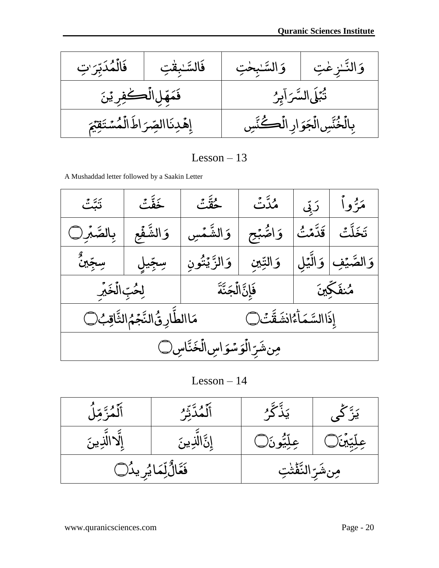ٰتِ <u>ز</u> ٌر ِّبٌ<br>ڊ ب ى د ي و<br>حم ֓֝֝֝*֟* ال ى ًت ف ٰا لمبق ٌى فَالسَّ اببخ ت | فَ ٰا ٌى السَّ ى النَّـٰزِعْتِ | وَ ٰا ى ك <u>مِّلِ</u> ى ىم ف ى ن ٍ ۔<br>لُڪفِر پُ لَى السَّرَآبِرُ ۖ وَاللَّهُ إِنَّ ۖ فَقَهَلِ الْأ ٍ بر<br>نب ي ً<br>پول ً<br>بہ ا السَّرَ دِنَا ٍ إهْدِنَاالصِّرَاطَ ر<br>— الصِّرَاطَالُمُسَّتَقِيَّمَ <u>م</u> و<br>مشت ֧֓֝֝*֟* خُنَّسِ الْجَوَارِ الْڪُنَّسِ إِهْدِنَا الصِّرَ اطَّ الَّ  $\overline{\phantom{a}}$ بِالۡخُنَّسِ الۡجَوَارِ ى و ا<br>أ ج ֧֓֝֝*֚* الُجَوَارِ الُڪَنَّسِ ֓֝֝֝*֓* ال

A Mushaddad letter followed by a Saakin Letter

| تَبَّتَ                                                                  | ڂؘڡٚٞؖؾٞ    | حُقَّتُ                   | مُدَّتْ    |  | مَرُّواْ   رَبِّي            |
|--------------------------------------------------------------------------|-------------|---------------------------|------------|--|------------------------------|
| بِالصَّبِرِ                                                              | وَالشَّفَعِ | وَالشَّمۡسِ               | وَاصّْبُعِ |  | تَخَلَّتُ <i> </i> قَدَّمۡتُ |
| ڛڿۜۜڽڽ۠                                                                  | سِجِّيلِ    | وَالنِّينِ وَالزَّيۡتُونِ |            |  | وَالصَّيۡفِ   وَالَّيۡلِ     |
|                                                                          |             |                           |            |  |                              |
| مَاالطَّارِ قُ النَّجَمُ الثَّاقِبُ ()<br>إِذَا السَّمَأَءُ انشَقَّتَ () |             |                           |            |  |                              |
| مِن شَرِّ الْوَسْوَاسِ الْخَنَّاسِ۞                                      |             |                           |            |  |                              |

Lesson – 14

| أَلَّمُزَّمِّلَ        | أَلَّمُدَّتِّرُ | <u>يَڏُ گرُ </u>     | یَنَّ کُی    |
|------------------------|-----------------|----------------------|--------------|
| إلاالدِينَ             | ٟڕڽٞؖٙۨٳڵڶؚٳڽڹؘ | عِلِّيُّونَ۞         | عِلِّيِّينَ) |
| فَعَالٌٰلِّمَايُرِيدُل |                 | مِنْشَرِّالنَّفْتَتِ |              |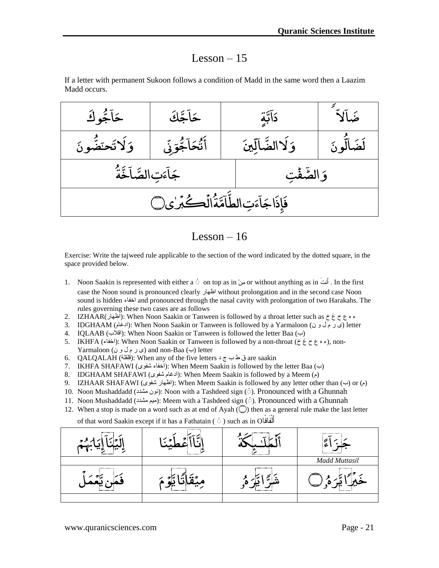If a letter with permanent Sukoon follows a condition of Madd in the same word then a Laazim Madd occurs.



Lesson  $-16$ 

Exercise: Write the tajweed rule applicable to the section of the word indicated by the dotted square, in the space provided below.

- 1. Noon Saakin is represented with either a ْ on top as in ِهِن or without anything as in َوتَأ . In the first case the Noon sound is pronounced clearly اظهار without prolongation and in the second case Noon sound is hidden اخفاء and pronounced through the nasal cavity with prolongation of two Harakahs. The rules governing these two cases are as follows Lesson - 16<br>I rule applicable to the section of the word indicated b<br>anted with either a  $\dot{\circ}$  on top as in  $\dot{\circ}$  or without anythis<br>pronounced clearly is without prolongation and in<br>ind pronounced through the nasal c
- 2. IZHAAR(اظهار(: When Noon Saakin or Tanween is followed by a throat letter such as خ غ ح ع ه ء
- 3. IDGHAAM (ادغام): When Noon Saakin or Tanween is followed by a Yarmaloon () (ادغام) letter
- 4. IQLAAB (اقلاب): When Noon Saakin or Tanween is followed the letter Baa (ب)
- 5. IKHFA (اخفاء): When Noon Saakin or Tanween is followed by a non-throat (خ ه ع ح غ خ), non-Yarmaloon (ى و ل م ر ي (and non-Baa (ب (letter
- 6. QALQALAH (قلقلة(: When any of the five letters د ج ب ط ق are saakin
- 7. IKHFA SHAFAWI (خفاء شفوى): When Meem Saakin is followed by the letter Baa (ب)
- 8. IDGHAAM SHAFAWI (ادغام شفوى): When Meem Saakin is followed by a Meem (م)
- 9. IZHAAR SHAFAWI (الظهار شفوي): When Meem Saakin is followed by any letter other than (ب) or
- 10. Noon Mushaddadd ( $\sim$ : نون مشدد): Noon with a Tashdeed sign ( $\circ$ ). Pronounced with a Ghunnah
- 11. Noon Mushaddadd (ميوم مشدد): Meem with a Tashdeed sign (ب). Pronounced with a Ghunnah
- 12. When a stop is made on a word such as at end of Ayah  $\circled{\cap}$  then as a general rule make the last letter

of that word Saakin except if it has a Fathatain (  $\circ$  ) such as in O